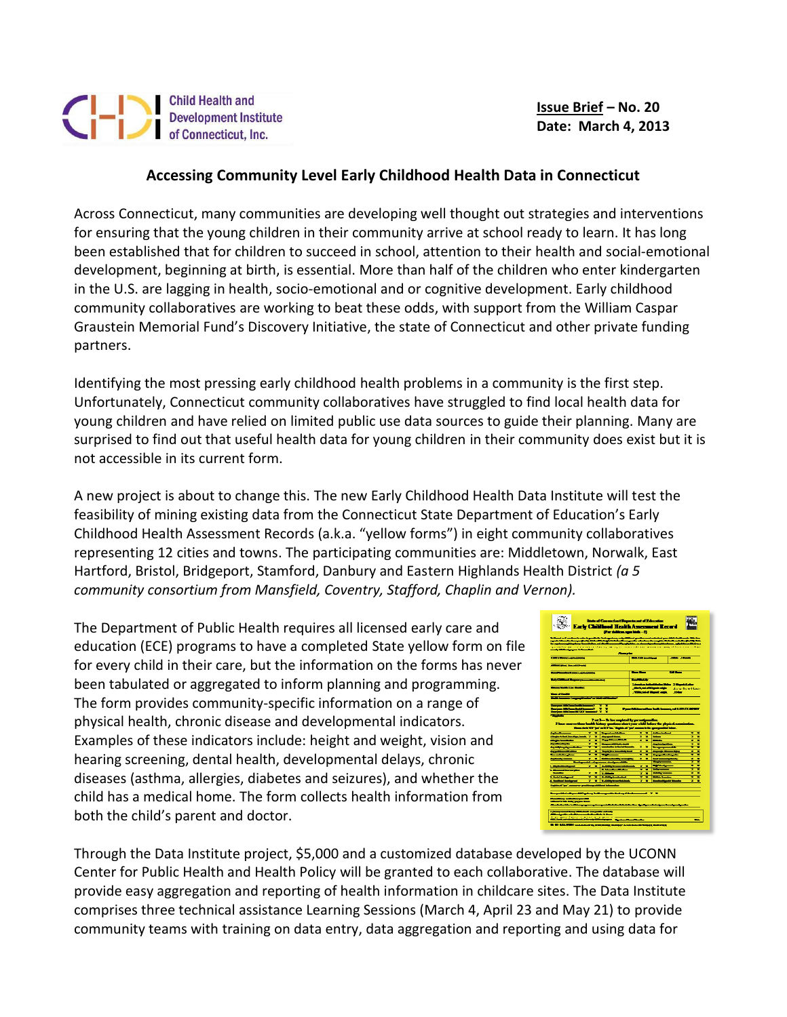## Child Health and<br>Development Institute<br>of Connecticut, Inc.

 **Issue Brief – No. 20 Date: March 4, 2013**

## **Accessing Community Level Early Childhood Health Data in Connecticut**

Across Connecticut, many communities are developing well thought out strategies and interventions for ensuring that the young children in their community arrive at school ready to learn. It has long been established that for children to succeed in school, attention to their health and social-emotional development, beginning at birth, is essential. More than half of the children who enter kindergarten in the U.S. are lagging in health, socio-emotional and or cognitive development. Early childhood community collaboratives are working to beat these odds, with support from the William Caspar Graustein Memorial Fund's Discovery Initiative, the state of Connecticut and other private funding partners.

Identifying the most pressing early childhood health problems in a community is the first step. Unfortunately, Connecticut community collaboratives have struggled to find local health data for young children and have relied on limited public use data sources to guide their planning. Many are surprised to find out that useful health data for young children in their community does exist but it is not accessible in its current form.

A new project is about to change this. The new Early Childhood Health Data Institute will test the feasibility of mining existing data from the Connecticut State Department of Education's Early Childhood Health Assessment Records (a.k.a. "yellow forms") in eight community collaboratives representing 12 cities and towns. The participating communities are: Middletown, Norwalk, East Hartford, Bristol, Bridgeport, Stamford, Danbury and Eastern Highlands Health District *(a 5 community consortium from Mansfield, Coventry, Stafford, Chaplin and Vernon).*

The Department of Public Health requires all licensed early care and education (ECE) programs to have a completed State yellow form on file for every child in their care, but the information on the forms has never been tabulated or aggregated to inform planning and programming. The form provides community-specific information on a range of physical health, chronic disease and developmental indicators. Examples of these indicators include: height and weight, vision and hearing screening, dental health, developmental delays, chronic diseases (asthma, allergies, diabetes and seizures), and whether the child has a medical home. The form collects health information from both the child's parent and doctor.

| State of Concerting (Department of Education<br>ùч.<br><b>Early Childhood Health Amenment Record</b><br>(For deliberation high-5)<br>26 Daniel w Corribon in with the positivity but regulars, with difficult genties and entached your difficult made. Site has                   |                                                                                                                                                                                                                                                |
|------------------------------------------------------------------------------------------------------------------------------------------------------------------------------------------------------------------------------------------------------------------------------------|------------------------------------------------------------------------------------------------------------------------------------------------------------------------------------------------------------------------------------------------|
|                                                                                                                                                                                                                                                                                    | agasta kilometra temperjind (1966-1971-1949) i kataluni menjadi sebagai menghisi tidak di melalui pada 19. Mai                                                                                                                                 |
|                                                                                                                                                                                                                                                                                    | the continuum photographs are controlled in the control by applying on the continuum problem and photographs are their very<br>garmatic and the control of the rights and control of the control of the control of the rights of the rights of |
| and distance and all controls.                                                                                                                                                                                                                                                     |                                                                                                                                                                                                                                                |
|                                                                                                                                                                                                                                                                                    | <b>Planner</b>                                                                                                                                                                                                                                 |
| <b>CASE CROSS CONTRACTOR</b>                                                                                                                                                                                                                                                       | <b>BARBARY</b><br><b>STATE OF THE 2</b>                                                                                                                                                                                                        |
| Address when the control of the                                                                                                                                                                                                                                                    |                                                                                                                                                                                                                                                |
|                                                                                                                                                                                                                                                                                    |                                                                                                                                                                                                                                                |
| <b>Constitution of the Constitution of the Constitution</b>                                                                                                                                                                                                                        | - 1<br><b>CALL II</b>                                                                                                                                                                                                                          |
| <b>Product for the communities</b>                                                                                                                                                                                                                                                 | $-$                                                                                                                                                                                                                                            |
|                                                                                                                                                                                                                                                                                    | <b><i>Commission Individual Individual Commission Individual</i></b>                                                                                                                                                                           |
| <b><i><u>Service Contact Description</u></i></b>                                                                                                                                                                                                                                   | <b>Inchester Desdeeds</b><br><b>John Branchlass</b>                                                                                                                                                                                            |
|                                                                                                                                                                                                                                                                                    | JDE<br><b><i>Companies Manual Address</i></b>                                                                                                                                                                                                  |
| <b>The COVER</b>                                                                                                                                                                                                                                                                   |                                                                                                                                                                                                                                                |
| $-$                                                                                                                                                                                                                                                                                |                                                                                                                                                                                                                                                |
| <b>Design College Design College</b><br>Ŧ<br>т<br><b>Designer difficult and dealer income of</b><br>7.7<br>Provided and the ball important into the same<br>Desper difficult 10302 (normal) 2 3<br>—                                                                               |                                                                                                                                                                                                                                                |
| <b>Part 3-12</b> for employed by present providers.<br>Place more than both history quasino about your child informity physical co<br>Resoluti XV bullet XV in Matthew bullet and concentrate and provided him.<br><b>Address 1980</b><br>$-$<br><b>Bandwicker</b><br>÷<br>-<br>۰. |                                                                                                                                                                                                                                                |
| $-$<br>distant and international control<br>÷                                                                                                                                                                                                                                      | $\sim$<br>-<br>т                                                                                                                                                                                                                               |
| فالمتناصبات<br>محصوصه<br>۰.<br>۰<br>Ŧ<br>----<br>÷                                                                                                                                                                                                                                 | $\overline{\phantom{a}}$<br>٠<br>۰.<br>۰                                                                                                                                                                                                       |
| <b>Second Column 2</b><br>woman in the fact months<br>F<br>÷<br><b>And Address of Construction</b>                                                                                                                                                                                 | مستقير استليماء<br>۰<br>٠<br>٠<br>-----<br>٠                                                                                                                                                                                                   |
| ____<br>π<br><b>The Party Corporation Service</b><br>۳                                                                                                                                                                                                                             | -----<br>÷<br>е<br>Ξ<br>-                                                                                                                                                                                                                      |
| <b>Service Administration of the Con-</b><br>$-$<br>۰.                                                                                                                                                                                                                             | Angeles States<br>۰<br>۰<br>۰<br>۰.                                                                                                                                                                                                            |
| ÷<br>۳<br>Schlass Continue or resident                                                                                                                                                                                                                                             |                                                                                                                                                                                                                                                |
|                                                                                                                                                                                                                                                                                    | ÷<br>بالمقران المتعادل<br>÷                                                                                                                                                                                                                    |
| $\sim$<br>مالك المتواصف مسا<br>$-1$                                                                                                                                                                                                                                                | ×<br>۰<br>$-$                                                                                                                                                                                                                                  |
| <b>Substitution and Contract Contract</b><br><b>Constitution Constitution</b><br>۰.<br>۰                                                                                                                                                                                           | ≂<br>Ξ<br>$-$<br>٠<br>٠                                                                                                                                                                                                                        |
| <b>C. Manufacturers</b><br><b>T. Sherman Bernards</b>                                                                                                                                                                                                                              | $-$<br>÷<br>÷<br>٠<br>۰                                                                                                                                                                                                                        |
| ٠<br>۰<br>$- - -$<br><b>Witness</b>                                                                                                                                                                                                                                                | τ<br>$-$<br>٠<br>н                                                                                                                                                                                                                             |
| <b><i><u>Charles Company</u></i></b><br><b>LOOK COMPANY</b><br>۰<br>۰<br>۰                                                                                                                                                                                                         | ٠<br><b>START STA</b><br>٠<br>۰.<br>۰.<br>۰                                                                                                                                                                                                    |
| <b>A. Bendere Andrews</b><br>÷<br>Turbert was the first<br><b>Highland "pa" commerce grandmap additional information</b>                                                                                                                                                           | <b>Senders School School</b>                                                                                                                                                                                                                   |
| and the first self-correlation and the first correlation from the correlation of the first party of                                                                                                                                                                                | ---                                                                                                                                                                                                                                            |
|                                                                                                                                                                                                                                                                                    |                                                                                                                                                                                                                                                |
| <b>The Alberta controller and</b><br>without the first party and some<br>---------                                                                                                                                                                                                 |                                                                                                                                                                                                                                                |
| واستأمد فأشعوهما فاستنقذت ومستا استعد ومستزرة<br>والمستنقصات وتنسوقهما<br>------                                                                                                                                                                                                   |                                                                                                                                                                                                                                                |
| the more facts in the annual service<br>---<br><b>Advisor Association</b><br>--<br>. .                                                                                                                                                                                             | $\sim$<br>____                                                                                                                                                                                                                                 |

Through the Data Institute project, \$5,000 and a customized database developed by the UCONN Center for Public Health and Health Policy will be granted to each collaborative. The database will provide easy aggregation and reporting of health information in childcare sites. The Data Institute comprises three technical assistance Learning Sessions (March 4, April 23 and May 21) to provide community teams with training on data entry, data aggregation and reporting and using data for